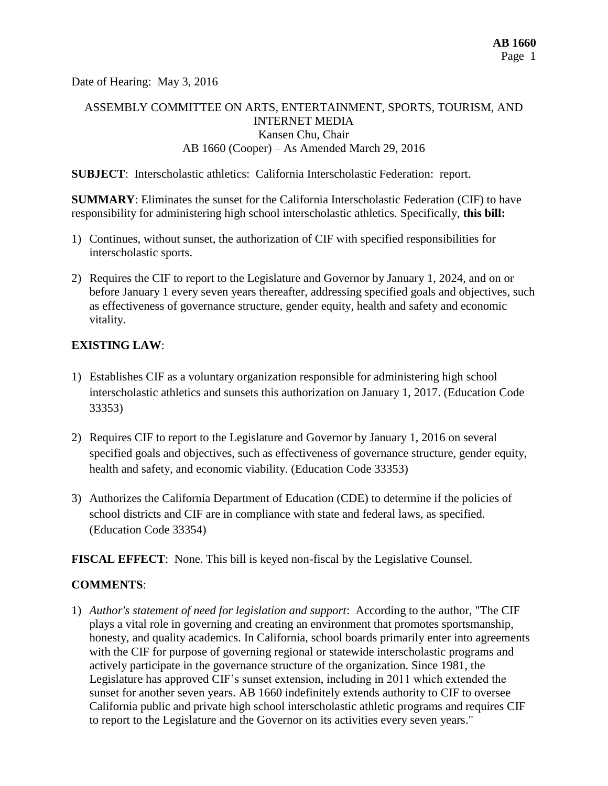Date of Hearing: May 3, 2016

# ASSEMBLY COMMITTEE ON ARTS, ENTERTAINMENT, SPORTS, TOURISM, AND INTERNET MEDIA Kansen Chu, Chair AB 1660 (Cooper) – As Amended March 29, 2016

**SUBJECT**: Interscholastic athletics: California Interscholastic Federation: report.

**SUMMARY**: Eliminates the sunset for the California Interscholastic Federation (CIF) to have responsibility for administering high school interscholastic athletics. Specifically, **this bill:**

- 1) Continues, without sunset, the authorization of CIF with specified responsibilities for interscholastic sports.
- 2) Requires the CIF to report to the Legislature and Governor by January 1, 2024, and on or before January 1 every seven years thereafter, addressing specified goals and objectives, such as effectiveness of governance structure, gender equity, health and safety and economic vitality.

### **EXISTING LAW**:

- 1) Establishes CIF as a voluntary organization responsible for administering high school interscholastic athletics and sunsets this authorization on January 1, 2017. (Education Code 33353)
- 2) Requires CIF to report to the Legislature and Governor by January 1, 2016 on several specified goals and objectives, such as effectiveness of governance structure, gender equity, health and safety, and economic viability. (Education Code 33353)
- 3) Authorizes the California Department of Education (CDE) to determine if the policies of school districts and CIF are in compliance with state and federal laws, as specified. (Education Code 33354)

**FISCAL EFFECT**: None. This bill is keyed non-fiscal by the Legislative Counsel.

## **COMMENTS**:

1) *Author's statement of need for legislation and support*: According to the author, "The CIF plays a vital role in governing and creating an environment that promotes sportsmanship, honesty, and quality academics. In California, school boards primarily enter into agreements with the CIF for purpose of governing regional or statewide interscholastic programs and actively participate in the governance structure of the organization. Since 1981, the Legislature has approved CIF's sunset extension, including in 2011 which extended the sunset for another seven years. AB 1660 indefinitely extends authority to CIF to oversee California public and private high school interscholastic athletic programs and requires CIF to report to the Legislature and the Governor on its activities every seven years."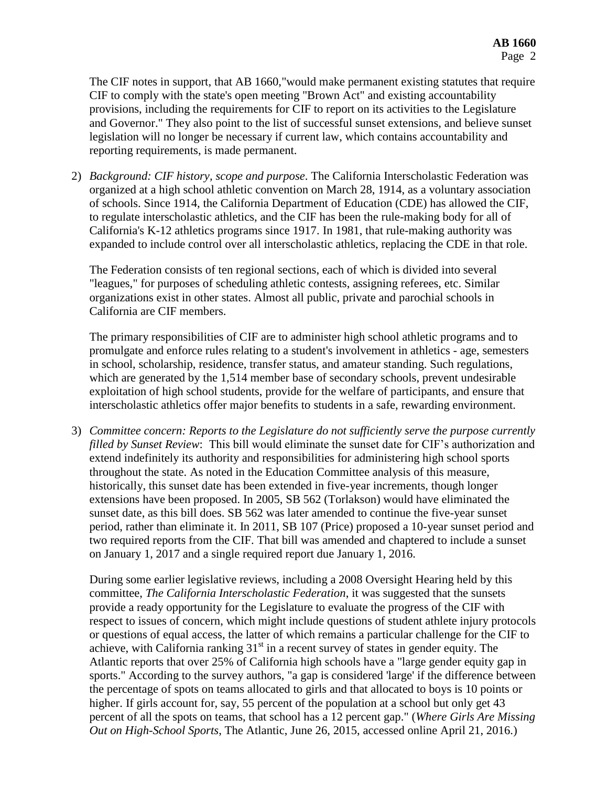The CIF notes in support, that AB 1660,"would make permanent existing statutes that require CIF to comply with the state's open meeting "Brown Act" and existing accountability provisions, including the requirements for CIF to report on its activities to the Legislature and Governor." They also point to the list of successful sunset extensions, and believe sunset legislation will no longer be necessary if current law, which contains accountability and reporting requirements, is made permanent.

2) *Background: CIF history, scope and purpose*. The California Interscholastic Federation was organized at a high school athletic convention on March 28, 1914, as a voluntary association of schools. Since 1914, the California Department of Education (CDE) has allowed the CIF, to regulate interscholastic athletics, and the CIF has been the rule-making body for all of California's K-12 athletics programs since 1917. In 1981, that rule-making authority was expanded to include control over all interscholastic athletics, replacing the CDE in that role.

The Federation consists of ten regional sections, each of which is divided into several "leagues," for purposes of scheduling athletic contests, assigning referees, etc. Similar organizations exist in other states. Almost all public, private and parochial schools in California are CIF members.

The primary responsibilities of CIF are to administer high school athletic programs and to promulgate and enforce rules relating to a student's involvement in athletics - age, semesters in school, scholarship, residence, transfer status, and amateur standing. Such regulations, which are generated by the 1,514 member base of secondary schools, prevent undesirable exploitation of high school students, provide for the welfare of participants, and ensure that interscholastic athletics offer major benefits to students in a safe, rewarding environment.

3) *Committee concern: Reports to the Legislature do not sufficiently serve the purpose currently filled by Sunset Review*: This bill would eliminate the sunset date for CIF's authorization and extend indefinitely its authority and responsibilities for administering high school sports throughout the state. As noted in the Education Committee analysis of this measure, historically, this sunset date has been extended in five-year increments, though longer extensions have been proposed. In 2005, SB 562 (Torlakson) would have eliminated the sunset date, as this bill does. SB 562 was later amended to continue the five-year sunset period, rather than eliminate it. In 2011, SB 107 (Price) proposed a 10-year sunset period and two required reports from the CIF. That bill was amended and chaptered to include a sunset on January 1, 2017 and a single required report due January 1, 2016.

During some earlier legislative reviews, including a 2008 Oversight Hearing held by this committee, *The California Interscholastic Federation*, it was suggested that the sunsets provide a ready opportunity for the Legislature to evaluate the progress of the CIF with respect to issues of concern, which might include questions of student athlete injury protocols or questions of equal access, the latter of which remains a particular challenge for the CIF to achieve, with California ranking  $31<sup>st</sup>$  in a recent survey of states in gender equity. The Atlantic reports that over 25% of California high schools have a "large gender equity gap in sports." According to the survey authors, "a gap is considered 'large' if the difference between the percentage of spots on teams allocated to girls and that allocated to boys is 10 points or higher. If girls account for, say, 55 percent of the population at a school but only get 43 percent of all the spots on teams, that school has a 12 percent gap." (*Where Girls Are Missing Out on High-School Sports*, The Atlantic, June 26, 2015, accessed online April 21, 2016.)